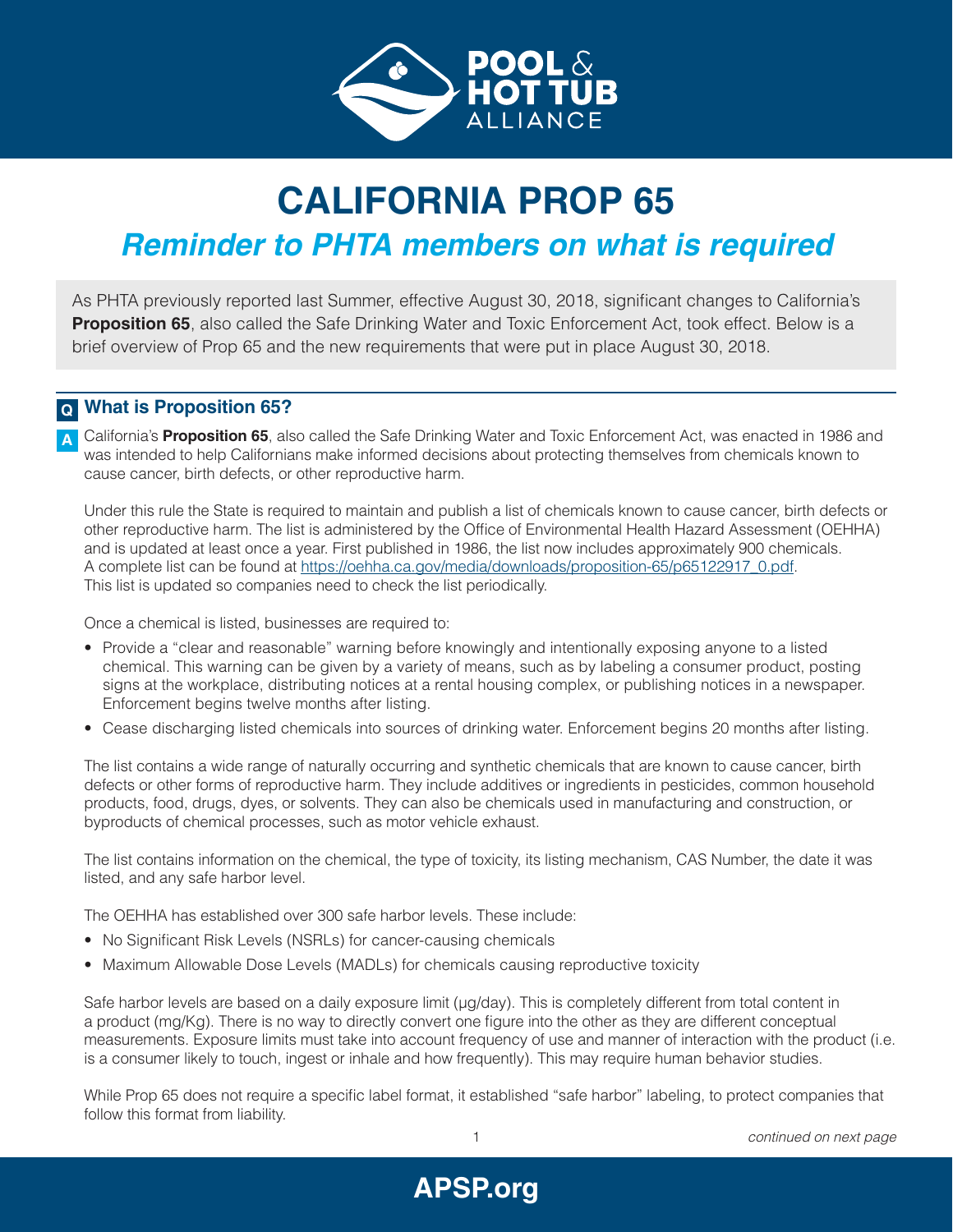

# **CALIFORNIA PROP 65**

## *Reminder to PHTA members on what is required*

As PHTA previously reported last Summer, effective August 30, 2018, significant changes to California's **Proposition 65**, also called the Safe Drinking Water and Toxic Enforcement Act, took effect. Below is a brief overview of Prop 65 and the new requirements that were put in place August 30, 2018.

#### **What is Proposition 65? Q**

California's **Proposition 65**, also called the Safe Drinking Water and Toxic Enforcement Act, was enacted in 1986 and was intended to help Californians make informed decisions about protecting themselves from chemicals known to cause cancer, birth defects, or other reproductive harm. **A**

Under this rule the State is required to maintain and publish a list of chemicals known to cause cancer, birth defects or other reproductive harm. The list is administered by the Office of Environmental Health Hazard Assessment (OEHHA) and is updated at least once a year. First published in 1986, the list now includes approximately 900 chemicals. A complete list can be found at [https://oehha.ca.gov/media/downloads/proposition-65/p65122917\\_0.pdf](https://oehha.ca.gov/media/downloads/proposition-65/p65122917_0.pdf). This list is updated so companies need to check the list periodically.

Once a chemical is listed, businesses are required to:

- Provide a "clear and reasonable" warning before knowingly and intentionally exposing anyone to a listed chemical. This warning can be given by a variety of means, such as by labeling a consumer product, posting signs at the workplace, distributing notices at a rental housing complex, or publishing notices in a newspaper. Enforcement begins twelve months after listing.
- Cease discharging listed chemicals into sources of drinking water. Enforcement begins 20 months after listing.

The list contains a wide range of naturally occurring and synthetic chemicals that are known to cause cancer, birth defects or other forms of reproductive harm. They include additives or ingredients in pesticides, common household products, food, drugs, dyes, or solvents. They can also be chemicals used in manufacturing and construction, or byproducts of chemical processes, such as motor vehicle exhaust.

The list contains information on the chemical, the type of toxicity, its listing mechanism, CAS Number, the date it was listed, and any safe harbor level.

The OEHHA has established over 300 safe harbor levels. These include:

- No Significant Risk Levels (NSRLs) for cancer-causing chemicals
- Maximum Allowable Dose Levels (MADLs) for chemicals causing reproductive toxicity

Safe harbor levels are based on a daily exposure limit ( $\mu$ g/day). This is completely different from total content in a product (mg/Kg). There is no way to directly convert one figure into the other as they are different conceptual measurements. Exposure limits must take into account frequency of use and manner of interaction with the product (i.e. is a consumer likely to touch, ingest or inhale and how frequently). This may require human behavior studies.

While Prop 65 does not require a specific label format, it established "safe harbor" labeling, to protect companies that follow this format from liability.

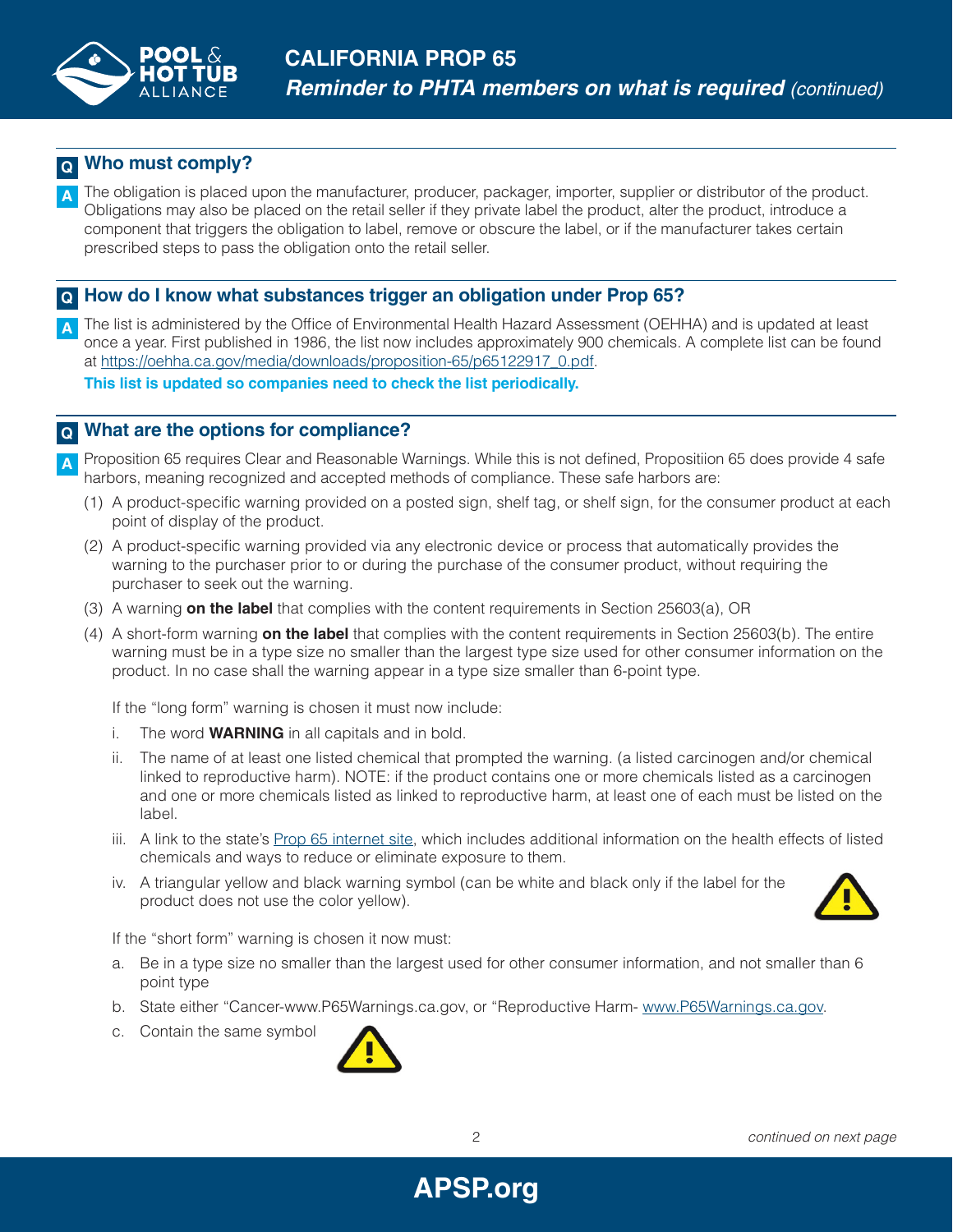

#### **Who must comply? Q**

The obligation is placed upon the manufacturer, producer, packager, importer, supplier or distributor of the product. Obligations may also be placed on the retail seller if they private label the product, alter the product, introduce a component that triggers the obligation to label, remove or obscure the label, or if the manufacturer takes certain prescribed steps to pass the obligation onto the retail seller. **A**

### **How do I know what substances trigger an obligation under Prop 65? Q**

The list is administered by the Office of Environmental Health Hazard Assessment (OEHHA) and is updated at least once a year. First published in 1986, the list now includes approximately 900 chemicals. A complete list can be found at [https://oehha.ca.gov/media/downloads/proposition-65/p65122917\\_0.pdf.](https://oehha.ca.gov/media/downloads/proposition-65/p65122917_0.pdf) **A**

**This list is updated so companies need to check the list periodically.**

#### **What are the options for compliance? Q**

- Proposition 65 requires Clear and Reasonable Warnings. While this is not defined, Propositiion 65 does provide 4 safe harbors, meaning recognized and accepted methods of compliance. These safe harbors are: **A**
	- (1) A product-specific warning provided on a posted sign, shelf tag, or shelf sign, for the consumer product at each point of display of the product.
	- (2) A product-specific warning provided via any electronic device or process that automatically provides the warning to the purchaser prior to or during the purchase of the consumer product, without requiring the purchaser to seek out the warning.
	- (3) A warning **on the label** that complies with the content requirements in Section 25603(a), OR
	- (4) A short-form warning **on the label** that complies with the content requirements in Section 25603(b). The entire warning must be in a type size no smaller than the largest type size used for other consumer information on the product. In no case shall the warning appear in a type size smaller than 6-point type.

If the "long form" warning is chosen it must now include:

- i. The word **WARNING** in all capitals and in bold.
- ii. The name of at least one listed chemical that prompted the warning. (a listed carcinogen and/or chemical linked to reproductive harm). NOTE: if the product contains one or more chemicals listed as a carcinogen and one or more chemicals listed as linked to reproductive harm, at least one of each must be listed on the label.
- iii. A link to the state's [Prop 65 internet site](https://www.p65warnings.ca.gov/), which includes additional information on the health effects of listed chemicals and ways to reduce or eliminate exposure to them.
- iv. A triangular yellow and black warning symbol (can be white and black only if the label for the product does not use the color yellow).



If the "short form" warning is chosen it now must:

- a. Be in a type size no smaller than the largest used for other consumer information, and not smaller than 6 point type
- b. State either "Cancer-www.P65Warnings.ca.gov, or "Reproductive Harm- [www.P65Warnings.ca.gov.](http://www.P65Warnings.ca.gov)
- c. Contain the same symbol